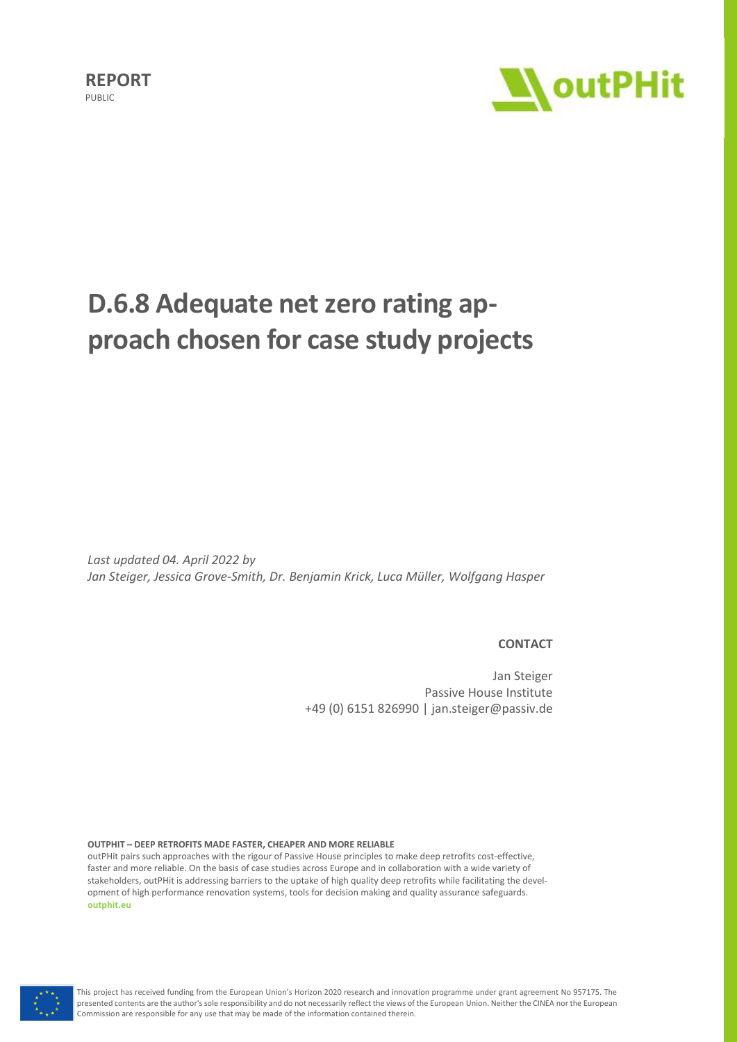

# **D.6.8 Adequate net zero rating approach chosen for case study projects**

*Last updated 04. April 2022 by Jan Steiger, Jessica Grove-Smith, Dr. Benjamin Krick, Luca Müller, Wolfgang Hasper*

#### **CONTACT**

Jan Steiger Passive House Institute +49 (0) 6151 826990 | jan.steiger@passiv.de

**OUTPHIT – DEEP RETROFITS MADE FASTER, CHEAPER AND MORE RELIABLE**

outPHit pairs such approaches with the rigour of Passive House principles to make deep retrofits cost-effective, faster and more reliable. On the basis of case studies across Europe and in collaboration with a wide variety of stakeholders, outPHit is addressing barriers to the uptake of high quality deep retrofits while facilitating the development of high performance renovation systems, tools for decision making and quality assurance safeguards. **[outphit.eu](http://www.outphit.eu/)**

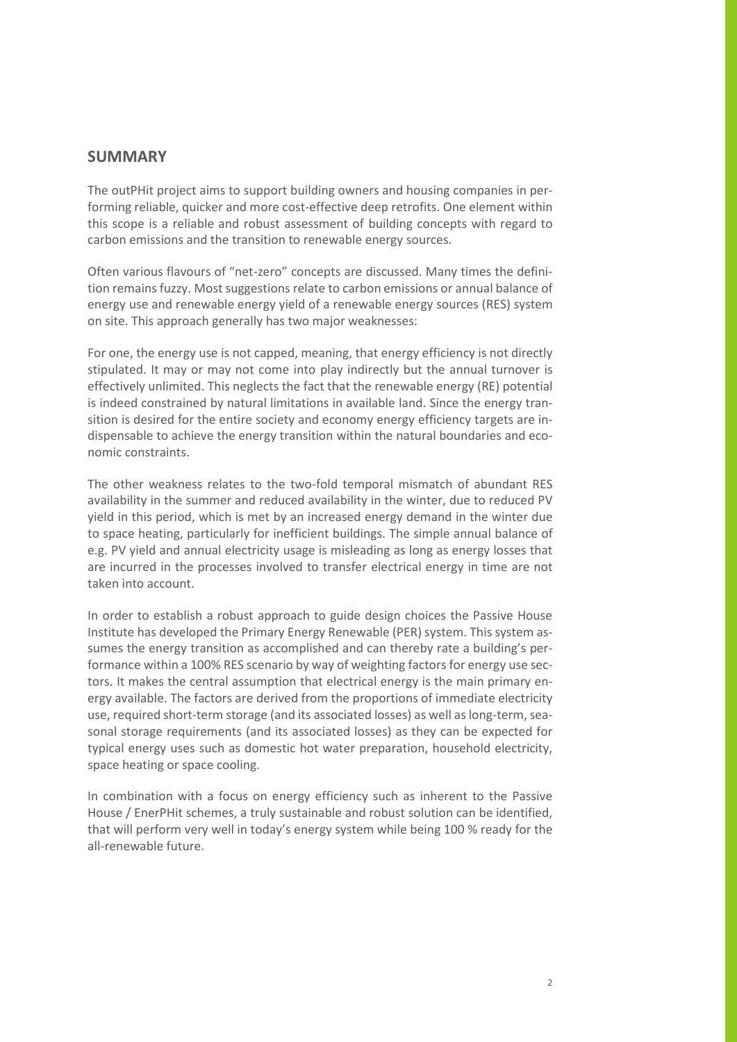## **SUMMARY**

The outPHit project aims to support building owners and housing companies in performing reliable, quicker and more cost-effective deep retrofits. One element within this scope is a reliable and robust assessment of building concepts with regard to carbon emissions and the transition to renewable energy sources.

Often various flavours of "net-zero" concepts are discussed. Many times the definition remains fuzzy. Most suggestions relate to carbon emissions or annual balance of energy use and renewable energy yield of a renewable energy sources (RES) system on site. This approach generally has two major weaknesses:

For one, the energy use is not capped, meaning, that energy efficiency is not directly stipulated. It may or may not come into play indirectly but the annual turnover is effectively unlimited. This neglects the fact that the renewable energy (RE) potential is indeed constrained by natural limitations in available land. Since the energy transition is desired for the entire society and economy energy efficiency targets are indispensable to achieve the energy transition within the natural boundaries and economic constraints.

The other weakness relates to the two-fold temporal mismatch of abundant RES availability in the summer and reduced availability in the winter, due to reduced PV yield in this period, which is met by an increased energy demand in the winter due to space heating, particularly for inefficient buildings. The simple annual balance of e.g. PV yield and annual electricity usage is misleading as long as energy losses that are incurred in the processes involved to transfer electrical energy in time are not taken into account.

In order to establish a robust approach to guide design choices the Passive House Institute has developed the Primary Energy Renewable (PER) system. This system assumes the energy transition as accomplished and can thereby rate a building's performance within a 100% RES scenario by way of weighting factors for energy use sectors. It makes the central assumption that electrical energy is the main primary energy available. The factors are derived from the proportions of immediate electricity use, required short-term storage (and its associated losses) as well as long-term, seasonal storage requirements (and its associated losses) as they can be expected for typical energy uses such as domestic hot water preparation, household electricity, space heating or space cooling.

In combination with a focus on energy efficiency such as inherent to the Passive House / EnerPHit schemes, a truly sustainable and robust solution can be identified, that will perform very well in today's energy system while being 100 % ready for the all-renewable future.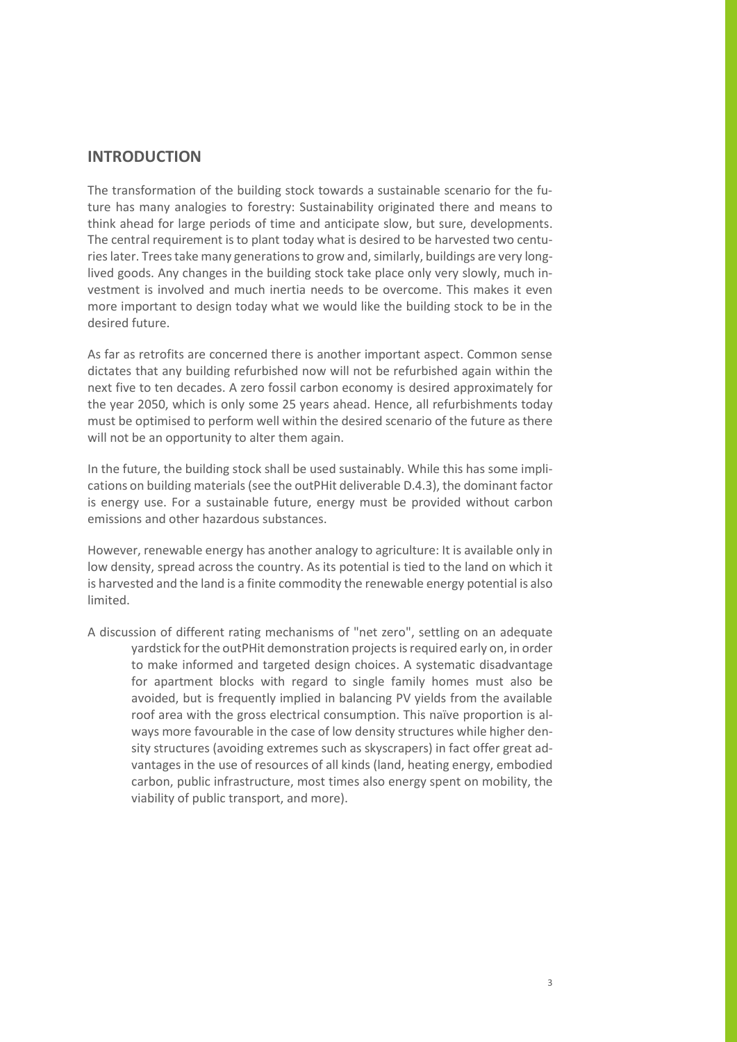# **INTRODUCTION**

The transformation of the building stock towards a sustainable scenario for the future has many analogies to forestry: Sustainability originated there and means to think ahead for large periods of time and anticipate slow, but sure, developments. The central requirement is to plant today what is desired to be harvested two centuries later. Trees take many generations to grow and, similarly, buildings are very longlived goods. Any changes in the building stock take place only very slowly, much investment is involved and much inertia needs to be overcome. This makes it even more important to design today what we would like the building stock to be in the desired future.

As far as retrofits are concerned there is another important aspect. Common sense dictates that any building refurbished now will not be refurbished again within the next five to ten decades. A zero fossil carbon economy is desired approximately for the year 2050, which is only some 25 years ahead. Hence, all refurbishments today must be optimised to perform well within the desired scenario of the future as there will not be an opportunity to alter them again.

In the future, the building stock shall be used sustainably. While this has some implications on building materials (see the outPHit deliverable D.4.3), the dominant factor is energy use. For a sustainable future, energy must be provided without carbon emissions and other hazardous substances.

However, renewable energy has another analogy to agriculture: It is available only in low density, spread across the country. As its potential is tied to the land on which it is harvested and the land is a finite commodity the renewable energy potential is also limited.

A discussion of different rating mechanisms of "net zero", settling on an adequate vardstick for the outPHit demonstration projects is required early on, in order to make informed and targeted design choices. A systematic disadvantage for apartment blocks with regard to single family homes must also be avoided, but is frequently implied in balancing PV yields from the available roof area with the gross electrical consumption. This naïve proportion is always more favourable in the case of low density structures while higher density structures (avoiding extremes such as skyscrapers) in fact offer great advantages in the use of resources of all kinds (land, heating energy, embodied carbon, public infrastructure, most times also energy spent on mobility, the viability of public transport, and more).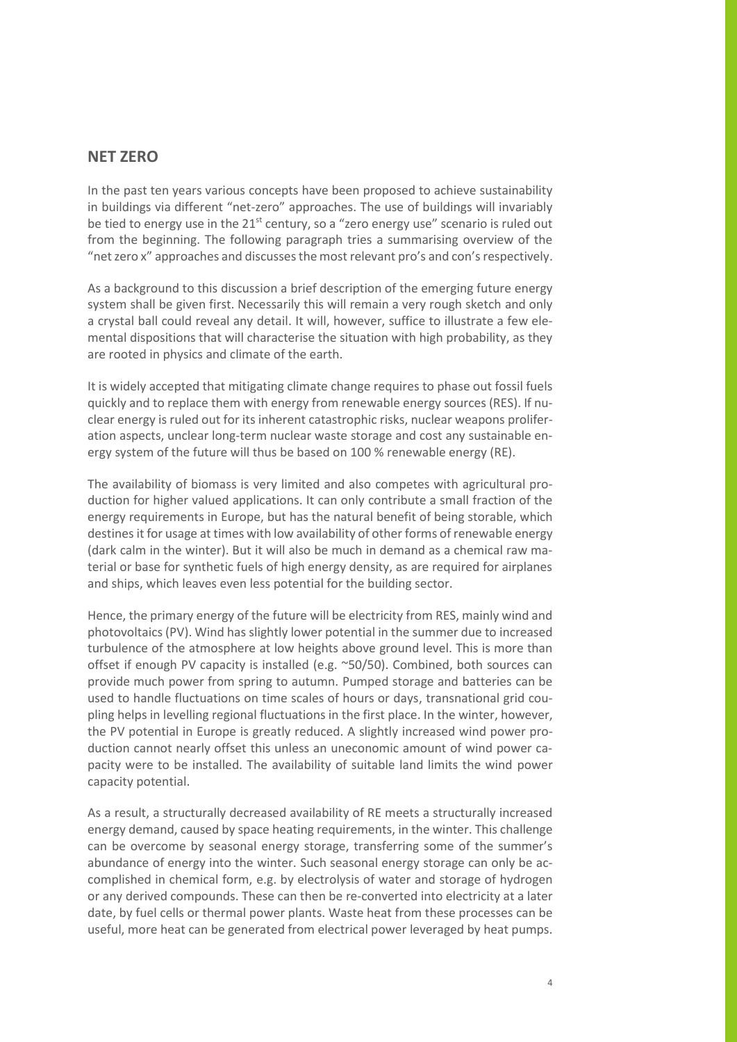## **NET ZERO**

In the past ten years various concepts have been proposed to achieve sustainability in buildings via different "net-zero" approaches. The use of buildings will invariably be tied to energy use in the 21<sup>st</sup> century, so a "zero energy use" scenario is ruled out from the beginning. The following paragraph tries a summarising overview of the "net zero x" approaches and discusses the most relevant pro's and con'srespectively.

As a background to this discussion a brief description of the emerging future energy system shall be given first. Necessarily this will remain a very rough sketch and only a crystal ball could reveal any detail. It will, however, suffice to illustrate a few elemental dispositions that will characterise the situation with high probability, as they are rooted in physics and climate of the earth.

It is widely accepted that mitigating climate change requires to phase out fossil fuels quickly and to replace them with energy from renewable energy sources (RES). If nuclear energy is ruled out for its inherent catastrophic risks, nuclear weapons proliferation aspects, unclear long-term nuclear waste storage and cost any sustainable energy system of the future will thus be based on 100 % renewable energy (RE).

The availability of biomass is very limited and also competes with agricultural production for higher valued applications. It can only contribute a small fraction of the energy requirements in Europe, but has the natural benefit of being storable, which destines it for usage at times with low availability of other forms of renewable energy (dark calm in the winter). But it will also be much in demand as a chemical raw material or base for synthetic fuels of high energy density, as are required for airplanes and ships, which leaves even less potential for the building sector.

Hence, the primary energy of the future will be electricity from RES, mainly wind and photovoltaics(PV). Wind has slightly lower potential in the summer due to increased turbulence of the atmosphere at low heights above ground level. This is more than offset if enough PV capacity is installed (e.g. ~50/50). Combined, both sources can provide much power from spring to autumn. Pumped storage and batteries can be used to handle fluctuations on time scales of hours or days, transnational grid coupling helps in levelling regional fluctuations in the first place. In the winter, however, the PV potential in Europe is greatly reduced. A slightly increased wind power production cannot nearly offset this unless an uneconomic amount of wind power capacity were to be installed. The availability of suitable land limits the wind power capacity potential.

As a result, a structurally decreased availability of RE meets a structurally increased energy demand, caused by space heating requirements, in the winter. This challenge can be overcome by seasonal energy storage, transferring some of the summer's abundance of energy into the winter. Such seasonal energy storage can only be accomplished in chemical form, e.g. by electrolysis of water and storage of hydrogen or any derived compounds. These can then be re-converted into electricity at a later date, by fuel cells or thermal power plants. Waste heat from these processes can be useful, more heat can be generated from electrical power leveraged by heat pumps.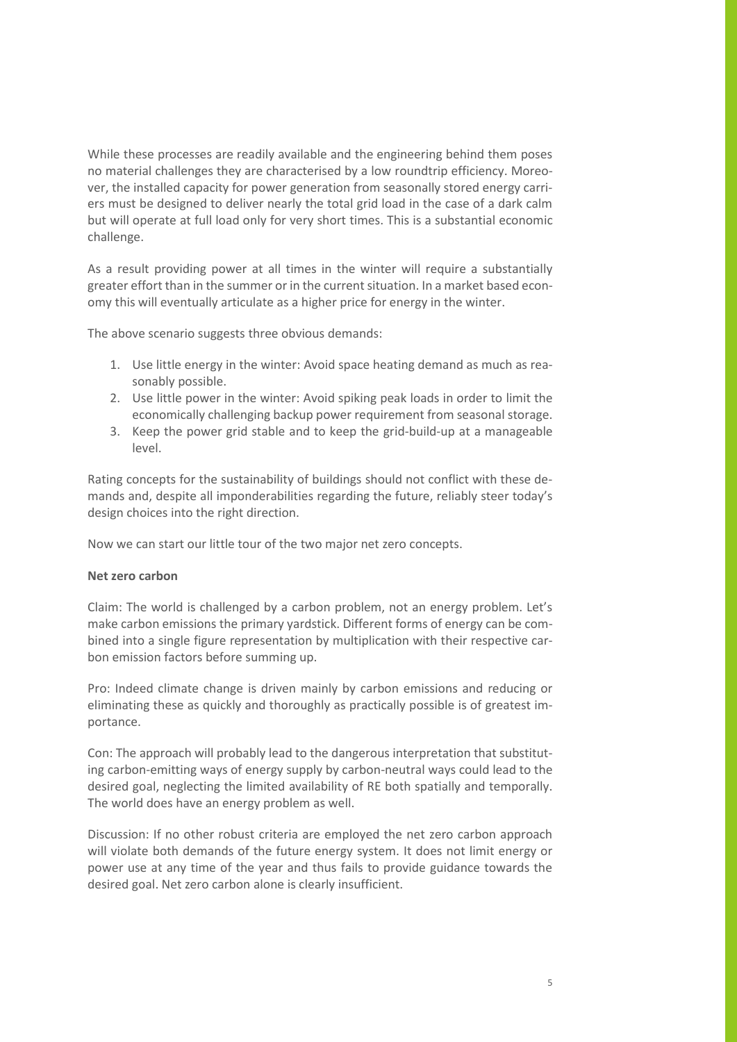While these processes are readily available and the engineering behind them poses no material challenges they are characterised by a low roundtrip efficiency. Moreover, the installed capacity for power generation from seasonally stored energy carriers must be designed to deliver nearly the total grid load in the case of a dark calm but will operate at full load only for very short times. This is a substantial economic challenge.

As a result providing power at all times in the winter will require a substantially greater effort than in the summer or in the current situation. In a market based economy this will eventually articulate as a higher price for energy in the winter.

The above scenario suggests three obvious demands:

- 1. Use little energy in the winter: Avoid space heating demand as much as reasonably possible.
- 2. Use little power in the winter: Avoid spiking peak loads in order to limit the economically challenging backup power requirement from seasonal storage.
- 3. Keep the power grid stable and to keep the grid-build-up at a manageable level.

Rating concepts for the sustainability of buildings should not conflict with these demands and, despite all imponderabilities regarding the future, reliably steer today's design choices into the right direction.

Now we can start our little tour of the two major net zero concepts.

#### **Net zero carbon**

Claim: The world is challenged by a carbon problem, not an energy problem. Let's make carbon emissions the primary yardstick. Different forms of energy can be combined into a single figure representation by multiplication with their respective carbon emission factors before summing up.

Pro: Indeed climate change is driven mainly by carbon emissions and reducing or eliminating these as quickly and thoroughly as practically possible is of greatest importance.

Con: The approach will probably lead to the dangerous interpretation that substituting carbon-emitting ways of energy supply by carbon-neutral ways could lead to the desired goal, neglecting the limited availability of RE both spatially and temporally. The world does have an energy problem as well.

Discussion: If no other robust criteria are employed the net zero carbon approach will violate both demands of the future energy system. It does not limit energy or power use at any time of the year and thus fails to provide guidance towards the desired goal. Net zero carbon alone is clearly insufficient.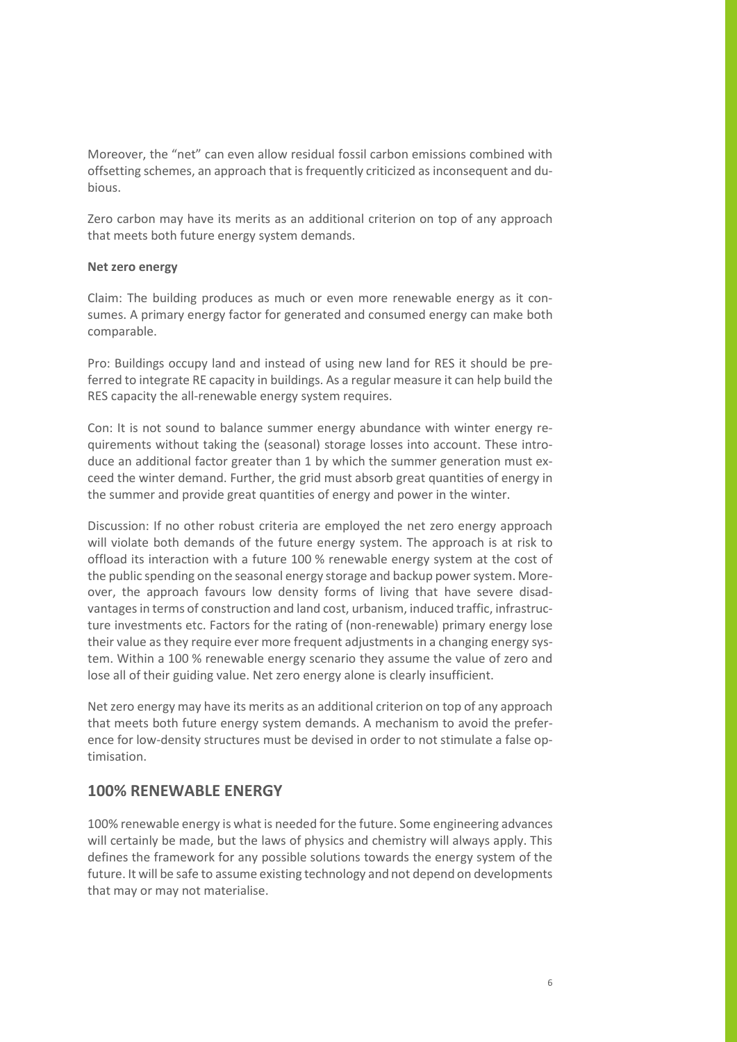Moreover, the "net" can even allow residual fossil carbon emissions combined with offsetting schemes, an approach that is frequently criticized as inconsequent and dubious.

Zero carbon may have its merits as an additional criterion on top of any approach that meets both future energy system demands.

#### **Net zero energy**

Claim: The building produces as much or even more renewable energy as it consumes. A primary energy factor for generated and consumed energy can make both comparable.

Pro: Buildings occupy land and instead of using new land for RES it should be preferred to integrate RE capacity in buildings. As a regular measure it can help build the RES capacity the all-renewable energy system requires.

Con: It is not sound to balance summer energy abundance with winter energy requirements without taking the (seasonal) storage losses into account. These introduce an additional factor greater than 1 by which the summer generation must exceed the winter demand. Further, the grid must absorb great quantities of energy in the summer and provide great quantities of energy and power in the winter.

Discussion: If no other robust criteria are employed the net zero energy approach will violate both demands of the future energy system. The approach is at risk to offload its interaction with a future 100 % renewable energy system at the cost of the public spending on the seasonal energy storage and backup power system. Moreover, the approach favours low density forms of living that have severe disadvantages in terms of construction and land cost, urbanism, induced traffic, infrastructure investments etc. Factors for the rating of (non-renewable) primary energy lose their value as they require ever more frequent adjustments in a changing energy system. Within a 100 % renewable energy scenario they assume the value of zero and lose all of their guiding value. Net zero energy alone is clearly insufficient.

Net zero energy may have its merits as an additional criterion on top of any approach that meets both future energy system demands. A mechanism to avoid the preference for low-density structures must be devised in order to not stimulate a false optimisation.

### **100% RENEWABLE ENERGY**

100% renewable energy is what is needed for the future. Some engineering advances will certainly be made, but the laws of physics and chemistry will always apply. This defines the framework for any possible solutions towards the energy system of the future. It will be safe to assume existing technology and not depend on developments that may or may not materialise.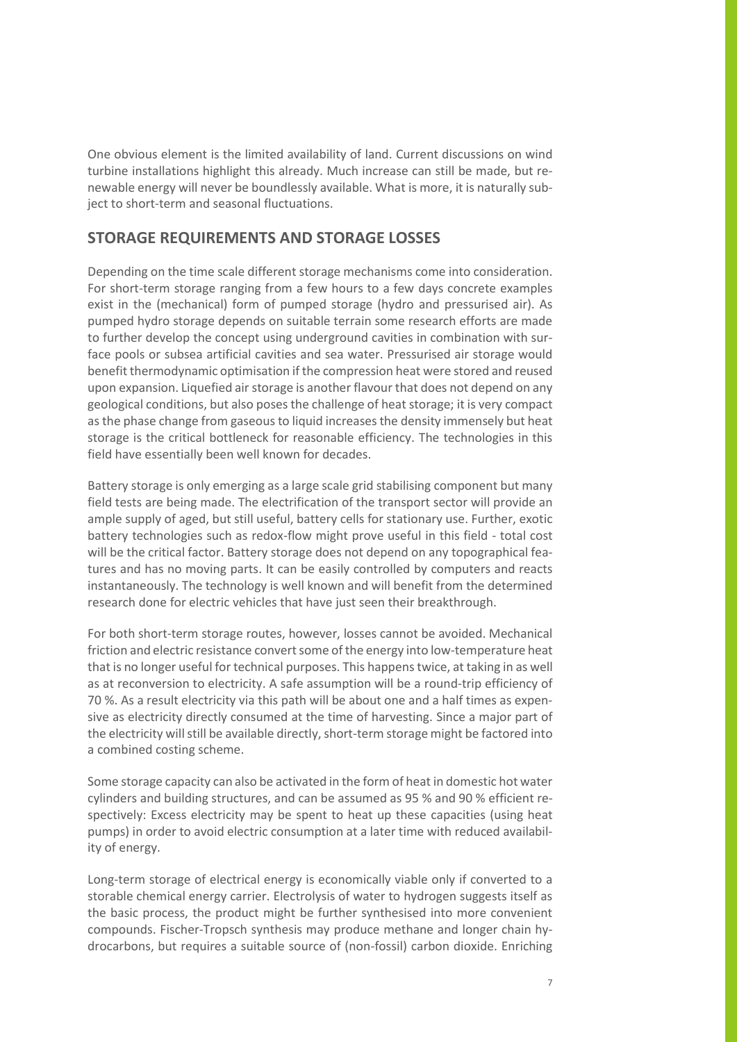One obvious element is the limited availability of land. Current discussions on wind turbine installations highlight this already. Much increase can still be made, but renewable energy will never be boundlessly available. What is more, it is naturally subject to short-term and seasonal fluctuations.

## **STORAGE REQUIREMENTS AND STORAGE LOSSES**

Depending on the time scale different storage mechanisms come into consideration. For short-term storage ranging from a few hours to a few days concrete examples exist in the (mechanical) form of pumped storage (hydro and pressurised air). As pumped hydro storage depends on suitable terrain some research efforts are made to further develop the concept using underground cavities in combination with surface pools or subsea artificial cavities and sea water. Pressurised air storage would benefit thermodynamic optimisation if the compression heat were stored and reused upon expansion. Liquefied air storage is another flavour that does not depend on any geological conditions, but also poses the challenge of heat storage; it is very compact as the phase change from gaseous to liquid increases the density immensely but heat storage is the critical bottleneck for reasonable efficiency. The technologies in this field have essentially been well known for decades.

Battery storage is only emerging as a large scale grid stabilising component but many field tests are being made. The electrification of the transport sector will provide an ample supply of aged, but still useful, battery cells for stationary use. Further, exotic battery technologies such as redox-flow might prove useful in this field - total cost will be the critical factor. Battery storage does not depend on any topographical features and has no moving parts. It can be easily controlled by computers and reacts instantaneously. The technology is well known and will benefit from the determined research done for electric vehicles that have just seen their breakthrough.

For both short-term storage routes, however, losses cannot be avoided. Mechanical friction and electric resistance convert some of the energy into low-temperature heat that is no longer useful for technical purposes. This happens twice, at taking in as well as at reconversion to electricity. A safe assumption will be a round-trip efficiency of 70 %. As a result electricity via this path will be about one and a half times as expensive as electricity directly consumed at the time of harvesting. Since a major part of the electricity will still be available directly, short-term storage might be factored into a combined costing scheme.

Some storage capacity can also be activated in the form of heat in domestic hot water cylinders and building structures, and can be assumed as 95 % and 90 % efficient respectively: Excess electricity may be spent to heat up these capacities (using heat pumps) in order to avoid electric consumption at a later time with reduced availability of energy.

Long-term storage of electrical energy is economically viable only if converted to a storable chemical energy carrier. Electrolysis of water to hydrogen suggests itself as the basic process, the product might be further synthesised into more convenient compounds. Fischer-Tropsch synthesis may produce methane and longer chain hydrocarbons, but requires a suitable source of (non-fossil) carbon dioxide. Enriching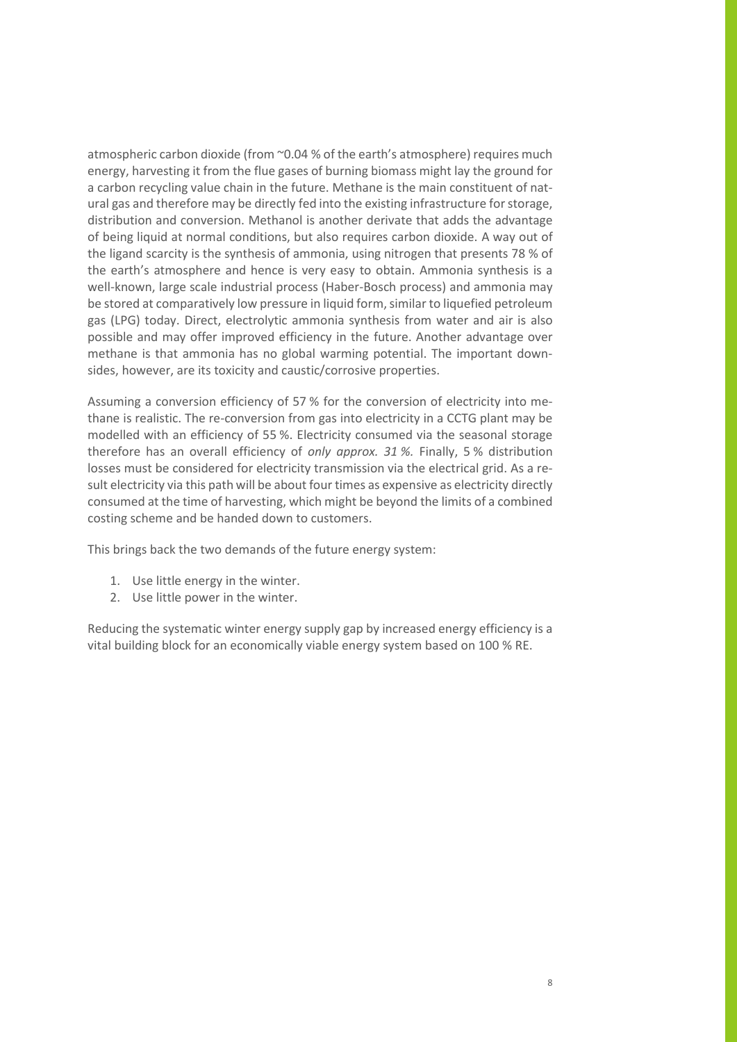atmospheric carbon dioxide (from ~0.04 % of the earth's atmosphere) requires much energy, harvesting it from the flue gases of burning biomass might lay the ground for a carbon recycling value chain in the future. Methane is the main constituent of natural gas and therefore may be directly fed into the existing infrastructure for storage, distribution and conversion. Methanol is another derivate that adds the advantage of being liquid at normal conditions, but also requires carbon dioxide. A way out of the ligand scarcity is the synthesis of ammonia, using nitrogen that presents 78 % of the earth's atmosphere and hence is very easy to obtain. Ammonia synthesis is a well-known, large scale industrial process (Haber-Bosch process) and ammonia may be stored at comparatively low pressure in liquid form, similar to liquefied petroleum gas (LPG) today. Direct, electrolytic ammonia synthesis from water and air is also possible and may offer improved efficiency in the future. Another advantage over methane is that ammonia has no global warming potential. The important downsides, however, are its toxicity and caustic/corrosive properties.

Assuming a conversion efficiency of 57 % for the conversion of electricity into methane is realistic. The re-conversion from gas into electricity in a CCTG plant may be modelled with an efficiency of 55 %. Electricity consumed via the seasonal storage therefore has an overall efficiency of *only approx. 31 %.* Finally, 5 % distribution losses must be considered for electricity transmission via the electrical grid. As a result electricity via this path will be about four times as expensive as electricity directly consumed at the time of harvesting, which might be beyond the limits of a combined costing scheme and be handed down to customers.

This brings back the two demands of the future energy system:

- 1. Use little energy in the winter.
- 2. Use little power in the winter.

Reducing the systematic winter energy supply gap by increased energy efficiency is a vital building block for an economically viable energy system based on 100 % RE.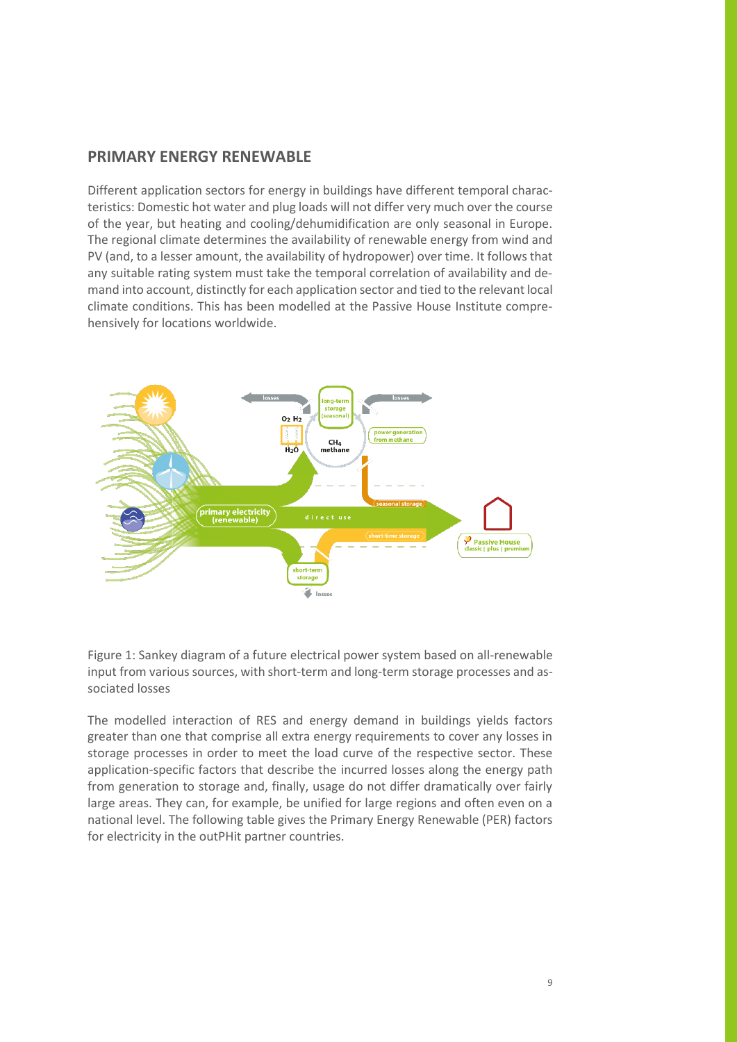# **PRIMARY ENERGY RENEWABLE**

Different application sectors for energy in buildings have different temporal characteristics: Domestic hot water and plug loads will not differ very much over the course of the year, but heating and cooling/dehumidification are only seasonal in Europe. The regional climate determines the availability of renewable energy from wind and PV (and, to a lesser amount, the availability of hydropower) over time. It follows that any suitable rating system must take the temporal correlation of availability and demand into account, distinctly for each application sector and tied to the relevant local climate conditions. This has been modelled at the Passive House Institute comprehensively for locations worldwide.



Figure 1: Sankey diagram of a future electrical power system based on all-renewable input from various sources, with short-term and long-term storage processes and associated losses

The modelled interaction of RES and energy demand in buildings yields factors greater than one that comprise all extra energy requirements to cover any losses in storage processes in order to meet the load curve of the respective sector. These application-specific factors that describe the incurred losses along the energy path from generation to storage and, finally, usage do not differ dramatically over fairly large areas. They can, for example, be unified for large regions and often even on a national level. The following table gives the Primary Energy Renewable (PER) factors for electricity in the outPHit partner countries.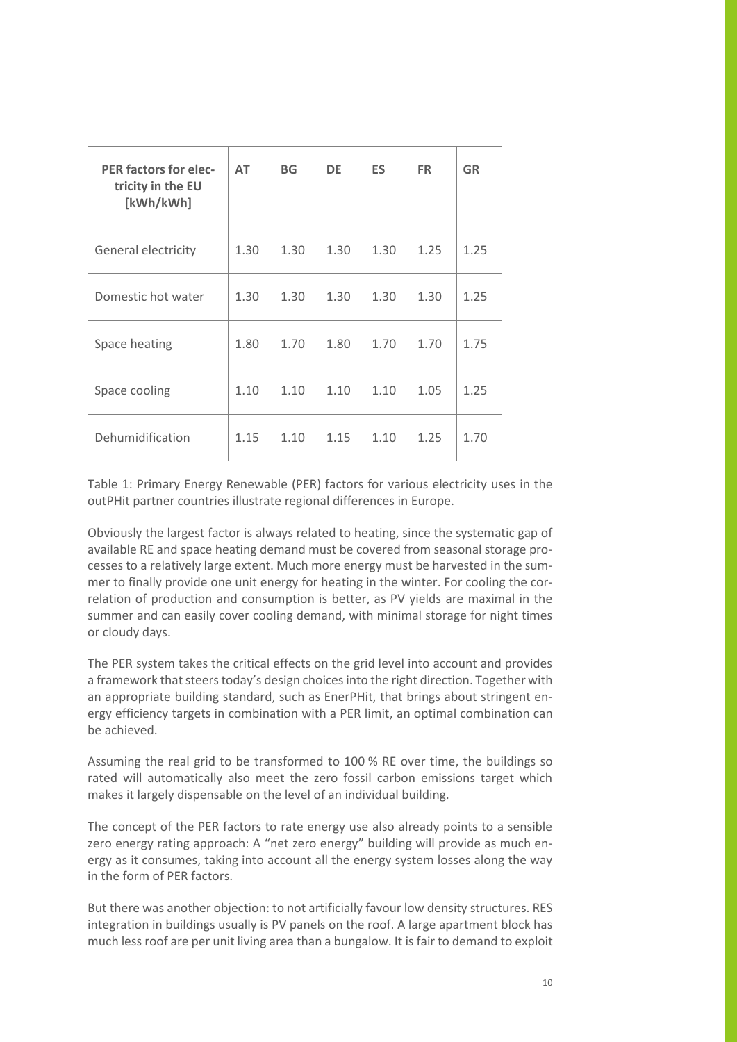| <b>PER factors for elec-</b><br>tricity in the EU<br>[kWh/kWh] | <b>AT</b> | <b>BG</b> | <b>DE</b> | <b>ES</b> | <b>FR</b> | <b>GR</b> |
|----------------------------------------------------------------|-----------|-----------|-----------|-----------|-----------|-----------|
| General electricity                                            | 1.30      | 1.30      | 1.30      | 1.30      | 1.25      | 1.25      |
| Domestic hot water                                             | 1.30      | 1.30      | 1.30      | 1.30      | 1.30      | 1.25      |
| Space heating                                                  | 1.80      | 1.70      | 1.80      | 1.70      | 1.70      | 1.75      |
| Space cooling                                                  | 1.10      | 1.10      | 1.10      | 1.10      | 1.05      | 1.25      |
| Dehumidification                                               | 1.15      | 1.10      | 1.15      | 1.10      | 1.25      | 1.70      |

Table 1: Primary Energy Renewable (PER) factors for various electricity uses in the outPHit partner countries illustrate regional differences in Europe.

Obviously the largest factor is always related to heating, since the systematic gap of available RE and space heating demand must be covered from seasonal storage processes to a relatively large extent. Much more energy must be harvested in the summer to finally provide one unit energy for heating in the winter. For cooling the correlation of production and consumption is better, as PV yields are maximal in the summer and can easily cover cooling demand, with minimal storage for night times or cloudy days.

The PER system takes the critical effects on the grid level into account and provides a framework that steers today's design choices into the right direction. Together with an appropriate building standard, such as EnerPHit, that brings about stringent energy efficiency targets in combination with a PER limit, an optimal combination can be achieved.

Assuming the real grid to be transformed to 100 % RE over time, the buildings so rated will automatically also meet the zero fossil carbon emissions target which makes it largely dispensable on the level of an individual building.

The concept of the PER factors to rate energy use also already points to a sensible zero energy rating approach: A "net zero energy" building will provide as much energy as it consumes, taking into account all the energy system losses along the way in the form of PER factors.

But there was another objection: to not artificially favour low density structures. RES integration in buildings usually is PV panels on the roof. A large apartment block has much less roof are per unit living area than a bungalow. It is fair to demand to exploit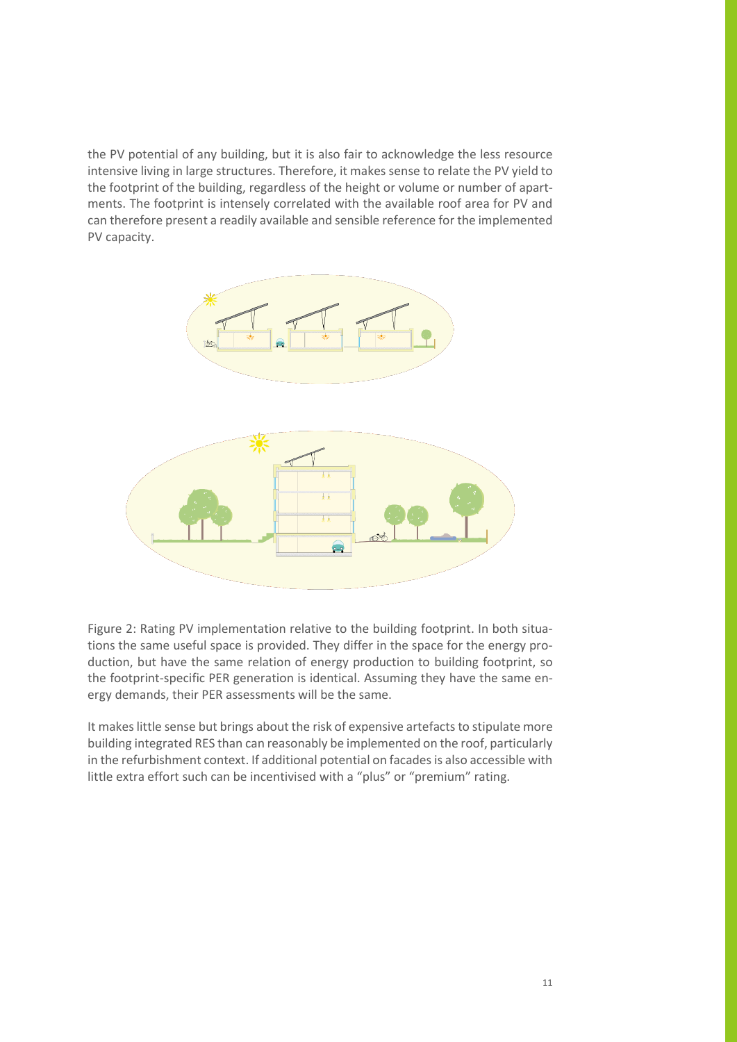the PV potential of any building, but it is also fair to acknowledge the less resource intensive living in large structures. Therefore, it makes sense to relate the PV yield to the footprint of the building, regardless of the height or volume or number of apartments. The footprint is intensely correlated with the available roof area for PV and can therefore present a readily available and sensible reference for the implemented PV capacity.



Figure 2: Rating PV implementation relative to the building footprint. In both situations the same useful space is provided. They differ in the space for the energy production, but have the same relation of energy production to building footprint, so the footprint-specific PER generation is identical. Assuming they have the same energy demands, their PER assessments will be the same.

It makes little sense but brings about the risk of expensive artefacts to stipulate more building integrated RES than can reasonably be implemented on the roof, particularly in the refurbishment context. If additional potential on facades is also accessible with little extra effort such can be incentivised with a "plus" or "premium" rating.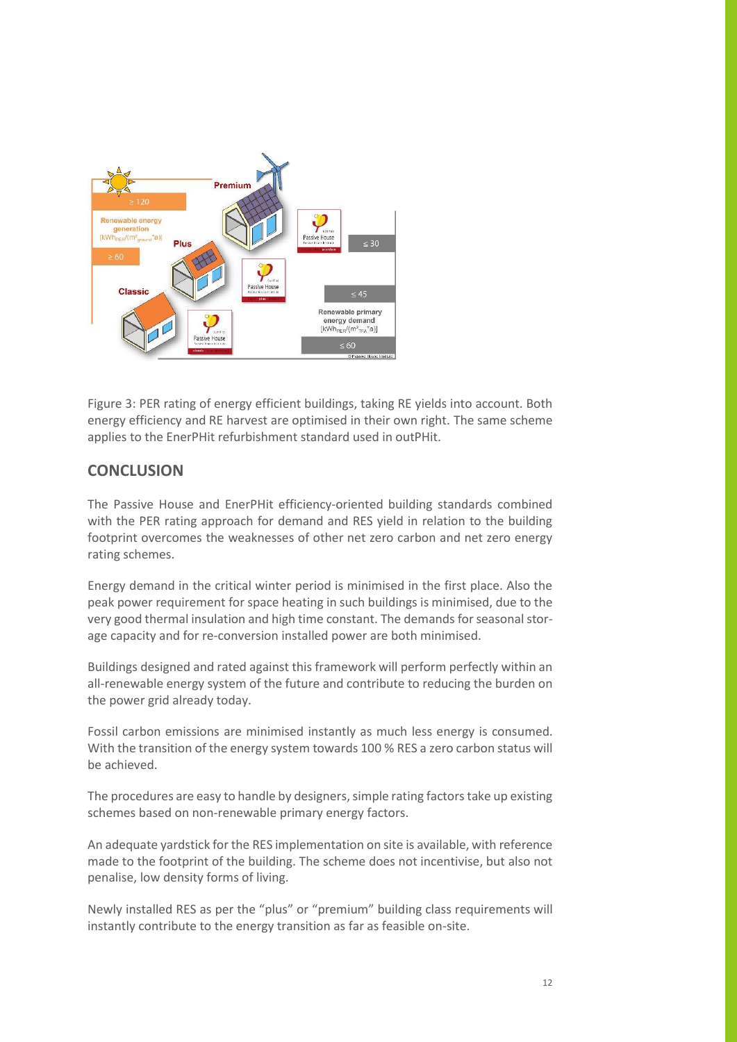

Figure 3: PER rating of energy efficient buildings, taking RE yields into account. Both energy efficiency and RE harvest are optimised in their own right. The same scheme applies to the EnerPHit refurbishment standard used in outPHit.

# **CONCLUSION**

The Passive House and EnerPHit efficiency-oriented building standards combined with the PER rating approach for demand and RES yield in relation to the building footprint overcomes the weaknesses of other net zero carbon and net zero energy rating schemes.

Energy demand in the critical winter period is minimised in the first place. Also the peak power requirement for space heating in such buildings is minimised, due to the very good thermal insulation and high time constant. The demands for seasonal storage capacity and for re-conversion installed power are both minimised.

Buildings designed and rated against this framework will perform perfectly within an all-renewable energy system of the future and contribute to reducing the burden on the power grid already today.

Fossil carbon emissions are minimised instantly as much less energy is consumed. With the transition of the energy system towards 100 % RES a zero carbon status will be achieved.

The procedures are easy to handle by designers, simple rating factors take up existing schemes based on non-renewable primary energy factors.

An adequate yardstick for the RES implementation on site is available, with reference made to the footprint of the building. The scheme does not incentivise, but also not penalise, low density forms of living.

Newly installed RES as per the "plus" or "premium" building class requirements will instantly contribute to the energy transition as far as feasible on-site.